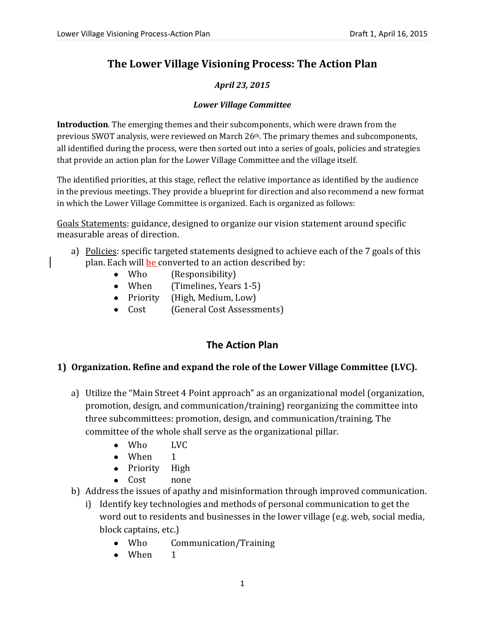# **The Lower Village Visioning Process: The Action Plan**

### *April 23, 2015*

#### *Lower Village Committee*

**Introduction**. The emerging themes and their subcomponents, which were drawn from the previous SWOT analysis, were reviewed on March 26th. The primary themes and subcomponents, all identified during the process, were then sorted out into a series of goals, policies and strategies that provide an action plan for the Lower Village Committee and the village itself.

The identified priorities, at this stage, reflect the relative importance as identified by the audience in the previous meetings. They provide a blueprint for direction and also recommend a new format in which the Lower Village Committee is organized. Each is organized as follows:

Goals Statements: guidance, designed to organize our vision statement around specific measurable areas of direction.

- a) Policies: specific targeted statements designed to achieve each of the 7 goals of this plan. Each will be converted to an action described by:
	- Who (Responsibility)
	- When (Timelines, Years 1-5)
	- Priority (High, Medium, Low)
	- Cost (General Cost Assessments)

## **The Action Plan**

#### **1) Organization. Refine and expand the role of the Lower Village Committee (LVC).**

- a) Utilize the "Main Street 4 Point approach" as an organizational model (organization, promotion, design, and communication/training) reorganizing the committee into three subcommittees: promotion, design, and communication/training. The committee of the whole shall serve as the organizational pillar.
	- Who LVC
	- When 1
	- Priority High
	- Cost none
- b) Address the issues of apathy and misinformation through improved communication.
	- i) Identify key technologies and methods of personal communication to get the word out to residents and businesses in the lower village (e.g. web, social media, block captains, etc.)
		- Who Communication/Training
		- When 1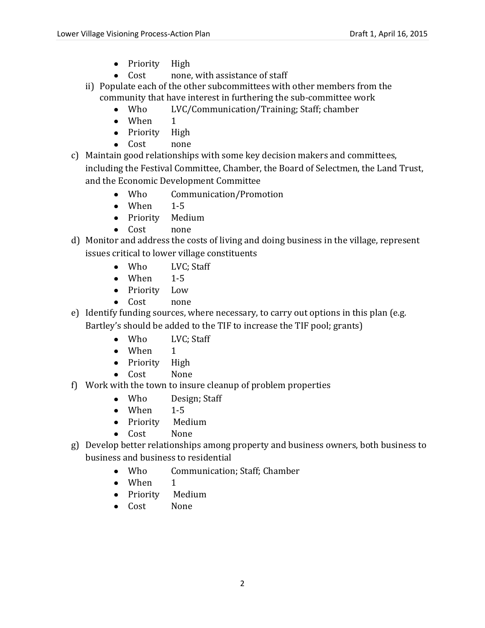- Priority High
- Cost none, with assistance of staff
- ii) Populate each of the other subcommittees with other members from the community that have interest in furthering the sub-committee work
	- Who LVC/Communication/Training; Staff; chamber
	- When 1
	- Priority High
	- Cost none
- c) Maintain good relationships with some key decision makers and committees, including the Festival Committee, Chamber, the Board of Selectmen, the Land Trust, and the Economic Development Committee
	- Who Communication/Promotion
	- $\bullet$  When 1-5
	- Priority Medium
	- Cost none
- d) Monitor and address the costs of living and doing business in the village, represent issues critical to lower village constituents
	- Who LVC; Staff
	- $\bullet$  When 1-5
	- Priority Low
	- Cost none
- e) Identify funding sources, where necessary, to carry out options in this plan (e.g. Bartley's should be added to the TIF to increase the TIF pool; grants)
	- Who LVC; Staff
	- When 1
	- Priority High
	- Cost None
- f) Work with the town to insure cleanup of problem properties
	- Who Design; Staff
	- $\bullet$  When 1-5
	- Priority Medium
	- Cost None
- g) Develop better relationships among property and business owners, both business to business and business to residential
	- Who Communication; Staff; Chamber
	- When 1
	- Priority Medium
	- Cost None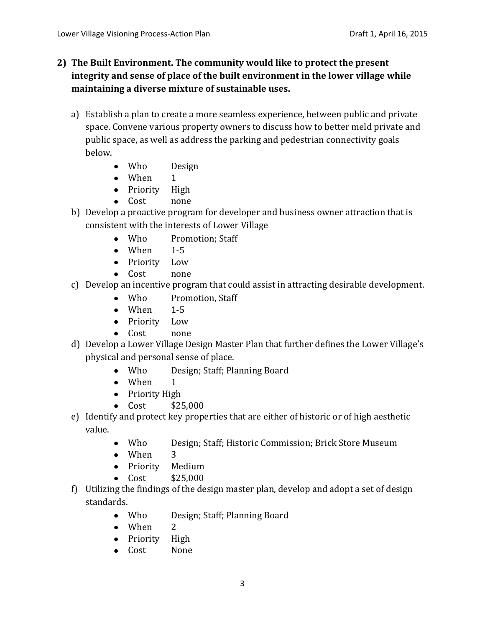## **2) The Built Environment. The community would like to protect the present integrity and sense of place of the built environment in the lower village while maintaining a diverse mixture of sustainable uses.**

- a) Establish a plan to create a more seamless experience, between public and private space. Convene various property owners to discuss how to better meld private and public space, as well as address the parking and pedestrian connectivity goals below.
	- Who Design
	- When 1
	- Priority High
	- Cost none
- b) Develop a proactive program for developer and business owner attraction that is consistent with the interests of Lower Village
	- Who Promotion; Staff
	- $\bullet$  When 1-5
	- Priority Low
	- Cost none
- c) Develop an incentive program that could assist in attracting desirable development.
	- Who Promotion, Staff
	- $\bullet$  When 1-5
	- Priority Low
	- Cost none
- d) Develop a Lower Village Design Master Plan that further defines the Lower Village's physical and personal sense of place.
	- Who Design; Staff; Planning Board
	- When 1
	- Priority High
	- $\bullet$  Cost  $$25,000$
- e) Identify and protect key properties that are either of historic or of high aesthetic value.
	- Who Design; Staff; Historic Commission; Brick Store Museum
	- When 3
	- Priority Medium
	- $\bullet$  Cost \$25,000
- f) Utilizing the findings of the design master plan, develop and adopt a set of design standards.
	- Who Design; Staff; Planning Board
	- When 2
	- Priority High
	- Cost None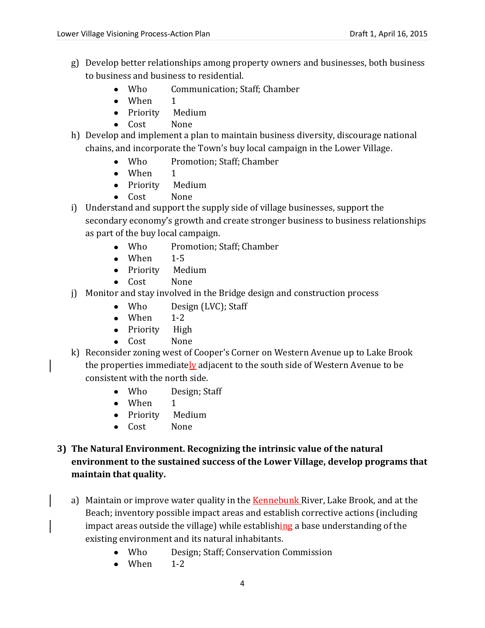- g) Develop better relationships among property owners and businesses, both business to business and business to residential.
	- Who Communication: Staff: Chamber
	- When 1
	- Priority Medium
	- Cost None
- h) Develop and implement a plan to maintain business diversity, discourage national chains, and incorporate the Town's buy local campaign in the Lower Village.
	- Who Promotion; Staff; Chamber
	- When 1
	- Priority Medium
	- Cost None
- i) Understand and support the supply side of village businesses, support the secondary economy's growth and create stronger business to business relationships as part of the buy local campaign.
	- Who Promotion; Staff; Chamber
	- $\bullet$  When 1-5
	- Priority Medium
	- Cost None
- j) Monitor and stay involved in the Bridge design and construction process
	- Who Design (LVC); Staff
	- When 1-2
	- Priority High
	- Cost None
- k) Reconsider zoning west of Cooper's Corner on Western Avenue up to Lake Brook the properties immediately adjacent to the south side of Western Avenue to be consistent with the north side.
	- Who Design; Staff
	- When 1
	- Priority Medium
	- Cost None
- **3) The Natural Environment. Recognizing the intrinsic value of the natural environment to the sustained success of the Lower Village, develop programs that maintain that quality.**
	- a) Maintain or improve water quality in the **Kennebunk** River, Lake Brook, and at the Beach; inventory possible impact areas and establish corrective actions (including impact areas outside the village) while establishing a base understanding of the existing environment and its natural inhabitants.
		- Who Design; Staff; Conservation Commission
		- $\bullet$  When 1-2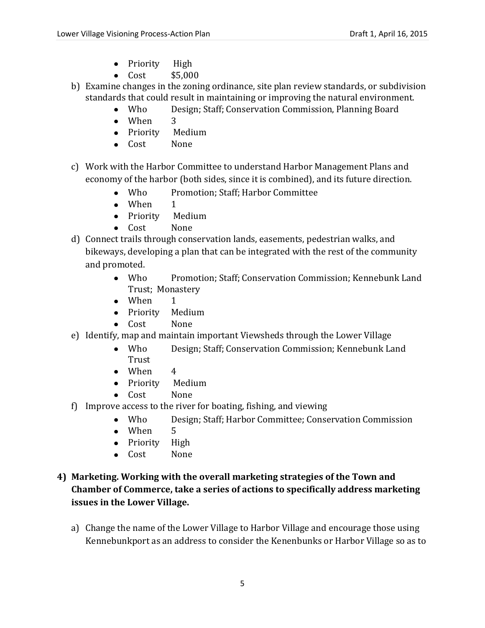- Priority High
- $\bullet$  Cost \$5,000
- b) Examine changes in the zoning ordinance, site plan review standards, or subdivision standards that could result in maintaining or improving the natural environment.
	- Who Design; Staff; Conservation Commission, Planning Board
	- When 3
	- Priority Medium
	- Cost None
- c) Work with the Harbor Committee to understand Harbor Management Plans and economy of the harbor (both sides, since it is combined), and its future direction.
	- Who Promotion: Staff: Harbor Committee
	- When 1
	- Priority Medium
	- Cost None
- d) Connect trails through conservation lands, easements, pedestrian walks, and bikeways, developing a plan that can be integrated with the rest of the community and promoted.
	- Who Promotion; Staff; Conservation Commission; Kennebunk Land Trust; Monastery
	- When 1
	- Priority Medium
	- Cost None
- e) Identify, map and maintain important Viewsheds through the Lower Village
	- Who Design; Staff; Conservation Commission; Kennebunk Land Trust
	- When 4
	- Priority Medium
	- Cost None
- f) Improve access to the river for boating, fishing, and viewing
	- Who Design; Staff; Harbor Committee; Conservation Commission
	- When 5
	- Priority High
	- Cost None
- **4) Marketing. Working with the overall marketing strategies of the Town and Chamber of Commerce, take a series of actions to specifically address marketing issues in the Lower Village.**
	- a) Change the name of the Lower Village to Harbor Village and encourage those using Kennebunkport as an address to consider the Kenenbunks or Harbor Village so as to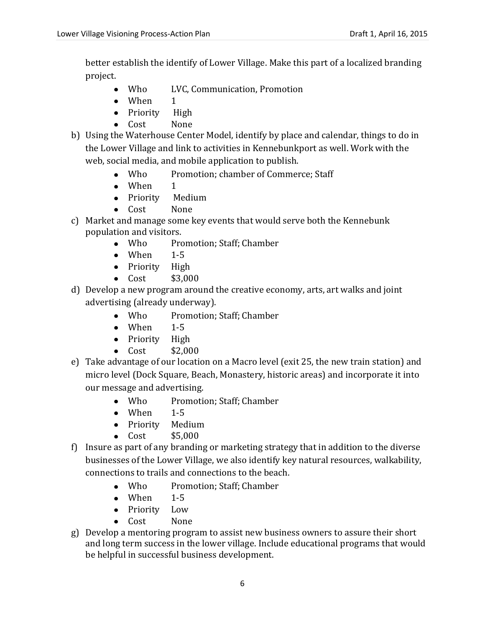better establish the identify of Lower Village. Make this part of a localized branding project.

- Who LVC, Communication, Promotion
- When 1
- Priority High
- Cost None
- b) Using the Waterhouse Center Model, identify by place and calendar, things to do in the Lower Village and link to activities in Kennebunkport as well. Work with the web, social media, and mobile application to publish.
	- Who Promotion; chamber of Commerce; Staff
	- When 1
	- Priority Medium
	- Cost None
- c) Market and manage some key events that would serve both the Kennebunk population and visitors.
	- Who Promotion; Staff; Chamber
	- $\bullet$  When 1-5
	- Priority High
	- Cost \$3,000
- d) Develop a new program around the creative economy, arts, art walks and joint advertising (already underway).
	- Who Promotion: Staff: Chamber
	- $\bullet$  When 1-5
	- Priority High
	- $Cost$  \$2.000
- e) Take advantage of our location on a Macro level (exit 25, the new train station) and micro level (Dock Square, Beach, Monastery, historic areas) and incorporate it into our message and advertising.
	- Who Promotion; Staff; Chamber
	- $\bullet$  When 1-5
	- Priority Medium
	- Cost \$5,000
- f) Insure as part of any branding or marketing strategy that in addition to the diverse businesses of the Lower Village, we also identify key natural resources, walkability, connections to trails and connections to the beach.
	- Who Promotion; Staff; Chamber
	- $\bullet$  When 1-5
	- Priority Low
	- Cost None
- g) Develop a mentoring program to assist new business owners to assure their short and long term success in the lower village. Include educational programs that would be helpful in successful business development.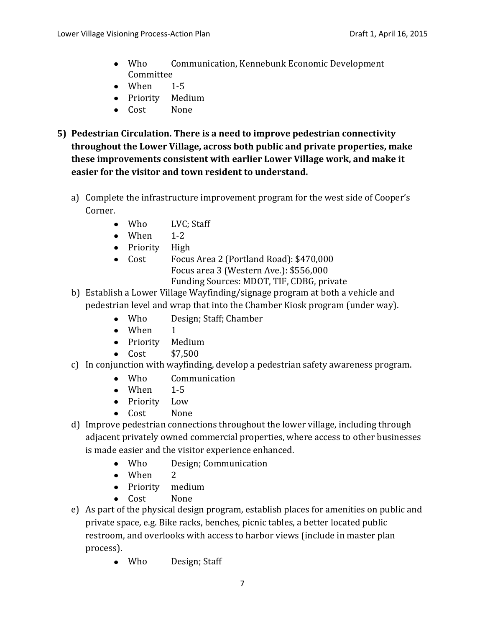- Who Communication, Kennebunk Economic Development Committee
- $\bullet$  When 1-5
- Priority Medium
- Cost None
- **5) Pedestrian Circulation. There is a need to improve pedestrian connectivity throughout the Lower Village, across both public and private properties, make these improvements consistent with earlier Lower Village work, and make it easier for the visitor and town resident to understand.**
	- a) Complete the infrastructure improvement program for the west side of Cooper's Corner.
		- Who LVC; Staff
		- $\bullet$  When 1-2
		- Priority High
		- Cost Focus Area 2 (Portland Road): \$470,000 Focus area 3 (Western Ave.): \$556,000 Funding Sources: MDOT, TIF, CDBG, private
	- b) Establish a Lower Village Wayfinding/signage program at both a vehicle and pedestrian level and wrap that into the Chamber Kiosk program (under way).
		- Who Design; Staff; Chamber
		- When 1
		- Priority Medium
		- $Cost$  \$7,500
	- c) In conjunction with wayfinding, develop a pedestrian safety awareness program.
		- Who Communication
		- $\bullet$  When 1-5
		- Priority Low
		- Cost None
	- d) Improve pedestrian connections throughout the lower village, including through adjacent privately owned commercial properties, where access to other businesses is made easier and the visitor experience enhanced.
		- Who Design; Communication
		- When 2
		- Priority medium
		- Cost None
	- e) As part of the physical design program, establish places for amenities on public and private space, e.g. Bike racks, benches, picnic tables, a better located public restroom, and overlooks with access to harbor views (include in master plan process).
		- Who Design; Staff